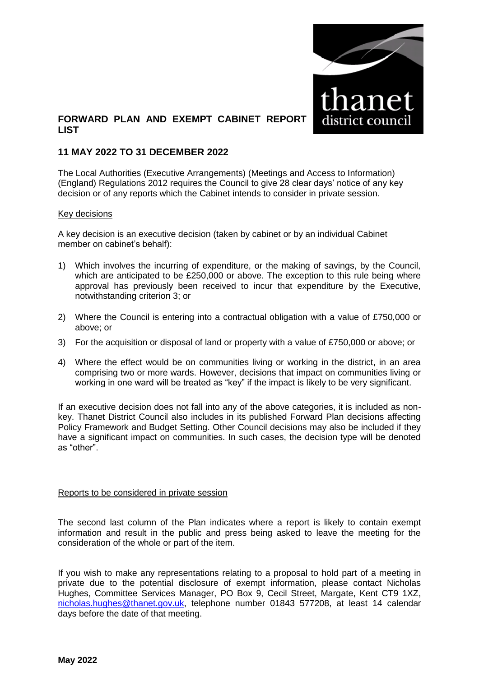

## **FORWARD PLAN AND EXEMPT CABINET REPORT LIST**

### **11 MAY 2022 TO 31 DECEMBER 2022**

The Local Authorities (Executive Arrangements) (Meetings and Access to Information) (England) Regulations 2012 requires the Council to give 28 clear days' notice of any key decision or of any reports which the Cabinet intends to consider in private session.

#### Key decisions

A key decision is an executive decision (taken by cabinet or by an individual Cabinet member on cabinet's behalf):

- 1) Which involves the incurring of expenditure, or the making of savings, by the Council, which are anticipated to be £250,000 or above. The exception to this rule being where approval has previously been received to incur that expenditure by the Executive, notwithstanding criterion 3; or
- 2) Where the Council is entering into a contractual obligation with a value of £750,000 or above; or
- 3) For the acquisition or disposal of land or property with a value of £750,000 or above; or
- 4) Where the effect would be on communities living or working in the district, in an area comprising two or more wards. However, decisions that impact on communities living or working in one ward will be treated as "key" if the impact is likely to be very significant.

If an executive decision does not fall into any of the above categories, it is included as nonkey. Thanet District Council also includes in its published Forward Plan decisions affecting Policy Framework and Budget Setting. Other Council decisions may also be included if they have a significant impact on communities. In such cases, the decision type will be denoted as "other".

#### Reports to be considered in private session

The second last column of the Plan indicates where a report is likely to contain exempt information and result in the public and press being asked to leave the meeting for the consideration of the whole or part of the item.

If you wish to make any representations relating to a proposal to hold part of a meeting in private due to the potential disclosure of exempt information, please contact Nicholas Hughes, Committee Services Manager, PO Box 9, Cecil Street, Margate, Kent CT9 1XZ, [nicholas.hughes@thanet.gov.uk,](mailto:nicholas.hughes@thanet.gov.uk) telephone number 01843 577208, at least 14 calendar days before the date of that meeting.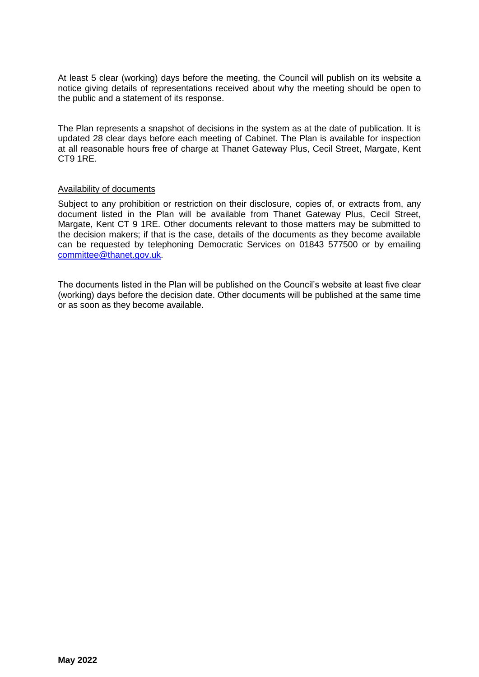At least 5 clear (working) days before the meeting, the Council will publish on its website a notice giving details of representations received about why the meeting should be open to the public and a statement of its response.

The Plan represents a snapshot of decisions in the system as at the date of publication. It is updated 28 clear days before each meeting of Cabinet. The Plan is available for inspection at all reasonable hours free of charge at Thanet Gateway Plus, Cecil Street, Margate, Kent CT9 1RE.

#### Availability of documents

Subject to any prohibition or restriction on their disclosure, copies of, or extracts from, any document listed in the Plan will be available from Thanet Gateway Plus, Cecil Street, Margate, Kent CT 9 1RE. Other documents relevant to those matters may be submitted to the decision makers; if that is the case, details of the documents as they become available can be requested by telephoning Democratic Services on 01843 577500 or by emailing [committee@thanet.gov.uk.](mailto:committee@thanet.gov.uk)

The documents listed in the Plan will be published on the Council's website at least five clear (working) days before the decision date. Other documents will be published at the same time or as soon as they become available.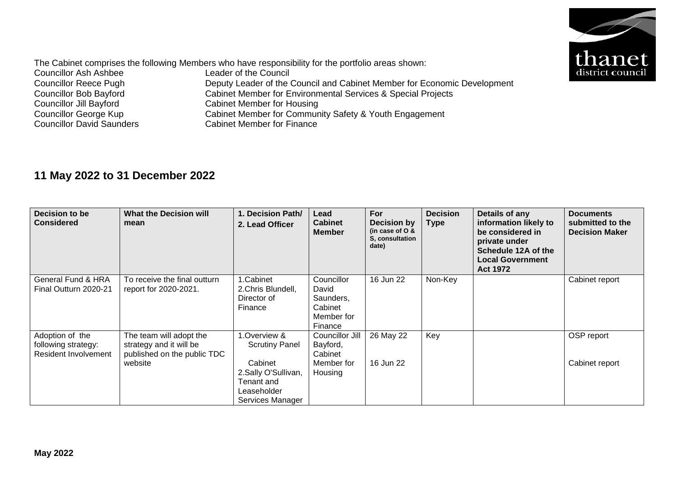

The Cabinet comprises the following Members who have responsibility for the portfolio areas shown:<br>Councillor Ash Ashbee<br>Leader of the Council Councillor Ash Ashbee<br>Councillor Reece Pugh Councillor Reece Pugh Deputy Leader of the Council and Cabinet Member for Economic Development<br>Councillor Bob Bayford Cabinet Member for Environmental Services & Special Projects Councillor Bob Bayford<br>
Cabinet Member for Environmental Services & Special Projects<br>
Cabinet Member for Housing Councillor Jill Bayford<br>
Cabinet Member for Housing<br>
Councillor George Kup<br>
Cabinet Member for Commun Councillor George Kup<br>
Cabinet Member for Community Safety & Youth Engagement<br>
Councillor David Saunders<br>
Cabinet Member for Finance Cabinet Member for Finance

# **11 May 2022 to 31 December 2022**

| Decision to be<br><b>Considered</b>                                   | <b>What the Decision will</b><br>mean                                                        | 1. Decision Path/<br>2. Lead Officer                                                                                     | Lead<br><b>Cabinet</b><br><b>Member</b>                              | For<br>Decision by<br>(in case of $O &$<br>S. consultation<br>date) | <b>Decision</b><br><b>Type</b> | Details of any<br>information likely to<br>be considered in<br>private under<br>Schedule 12A of the<br><b>Local Government</b><br><b>Act 1972</b> | <b>Documents</b><br>submitted to the<br><b>Decision Maker</b> |
|-----------------------------------------------------------------------|----------------------------------------------------------------------------------------------|--------------------------------------------------------------------------------------------------------------------------|----------------------------------------------------------------------|---------------------------------------------------------------------|--------------------------------|---------------------------------------------------------------------------------------------------------------------------------------------------|---------------------------------------------------------------|
| General Fund & HRA<br>Final Outturn 2020-21                           | To receive the final outturn<br>report for 2020-2021.                                        | L.Cabinet<br>2. Chris Blundell,<br>Director of<br>Finance                                                                | Councillor<br>David<br>Saunders,<br>Cabinet<br>Member for<br>Finance | 16 Jun 22                                                           | Non-Key                        |                                                                                                                                                   | Cabinet report                                                |
| Adoption of the<br>following strategy:<br><b>Resident Involvement</b> | The team will adopt the<br>strategy and it will be<br>published on the public TDC<br>website | 1.Overview &<br><b>Scrutiny Panel</b><br>Cabinet<br>2.Sally O'Sullivan,<br>Tenant and<br>Leaseholder<br>Services Manager | Councillor Jill<br>Bayford,<br>Cabinet<br>Member for<br>Housing      | 26 May 22<br>16 Jun 22                                              | Key                            |                                                                                                                                                   | OSP report<br>Cabinet report                                  |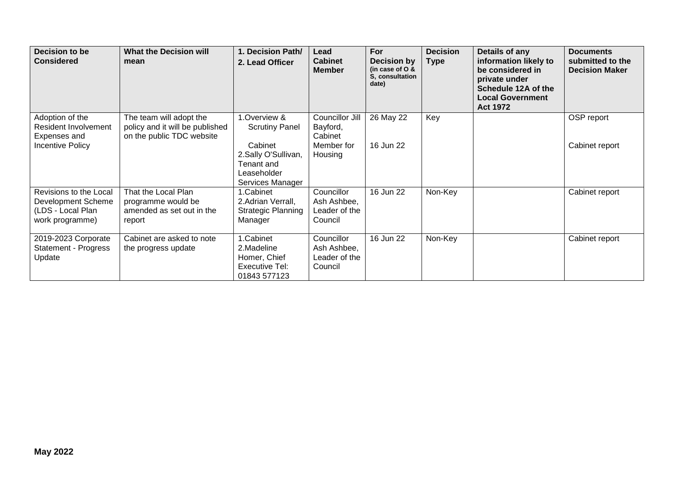| Decision to be<br><b>Considered</b>                                                  | <b>What the Decision will</b><br>mean                                                   | 1. Decision Path/<br>2. Lead Officer                                                                                     | Lead<br><b>Cabinet</b><br><b>Member</b>                         | <b>For</b><br><b>Decision by</b><br>(in case of $O$ &<br>S, consultation<br>date) | <b>Decision</b><br><b>Type</b> | Details of any<br>information likely to<br>be considered in<br>private under<br>Schedule 12A of the<br><b>Local Government</b><br><b>Act 1972</b> | <b>Documents</b><br>submitted to the<br><b>Decision Maker</b> |
|--------------------------------------------------------------------------------------|-----------------------------------------------------------------------------------------|--------------------------------------------------------------------------------------------------------------------------|-----------------------------------------------------------------|-----------------------------------------------------------------------------------|--------------------------------|---------------------------------------------------------------------------------------------------------------------------------------------------|---------------------------------------------------------------|
| Adoption of the<br><b>Resident Involvement</b><br>Expenses and<br>Incentive Policy   | The team will adopt the<br>policy and it will be published<br>on the public TDC website | 1.Overview &<br><b>Scrutiny Panel</b><br>Cabinet<br>2.Sally O'Sullivan,<br>Tenant and<br>Leaseholder<br>Services Manager | Councillor Jill<br>Bayford,<br>Cabinet<br>Member for<br>Housing | 26 May 22<br>16 Jun 22                                                            | Key                            |                                                                                                                                                   | OSP report<br>Cabinet report                                  |
| Revisions to the Local<br>Development Scheme<br>(LDS - Local Plan<br>work programme) | That the Local Plan<br>programme would be<br>amended as set out in the<br>report        | 1.Cabinet<br>2. Adrian Verrall,<br>Strategic Planning<br>Manager                                                         | Councillor<br>Ash Ashbee,<br>Leader of the<br>Council           | 16 Jun 22                                                                         | Non-Key                        |                                                                                                                                                   | Cabinet report                                                |
| 2019-2023 Corporate<br><b>Statement - Progress</b><br>Update                         | Cabinet are asked to note<br>the progress update                                        | 1.Cabinet<br>2.Madeline<br>Homer, Chief<br>Executive Tel:<br>01843 577123                                                | Councillor<br>Ash Ashbee,<br>Leader of the<br>Council           | 16 Jun 22                                                                         | Non-Key                        |                                                                                                                                                   | Cabinet report                                                |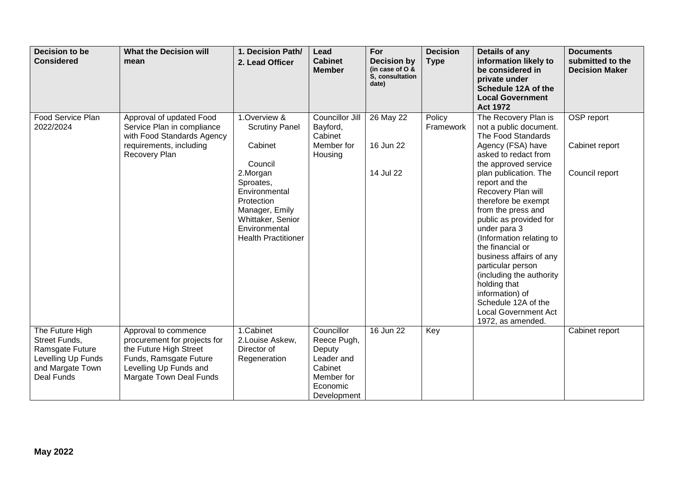| Decision to be<br><b>Considered</b>                                                                                | <b>What the Decision will</b><br>mean                                                                                                                         | 1. Decision Path/<br>2. Lead Officer                                                                                                                                                                      | Lead<br><b>Cabinet</b><br><b>Member</b>                                                               | For<br><b>Decision by</b><br>(in case of O &<br>S. consultation<br>date) | <b>Decision</b><br><b>Type</b> | Details of any<br>information likely to<br>be considered in<br>private under<br>Schedule 12A of the<br><b>Local Government</b><br><b>Act 1972</b>                                                                                                                                                                                                                                                                                                                                                                                           | <b>Documents</b><br>submitted to the<br><b>Decision Maker</b> |
|--------------------------------------------------------------------------------------------------------------------|---------------------------------------------------------------------------------------------------------------------------------------------------------------|-----------------------------------------------------------------------------------------------------------------------------------------------------------------------------------------------------------|-------------------------------------------------------------------------------------------------------|--------------------------------------------------------------------------|--------------------------------|---------------------------------------------------------------------------------------------------------------------------------------------------------------------------------------------------------------------------------------------------------------------------------------------------------------------------------------------------------------------------------------------------------------------------------------------------------------------------------------------------------------------------------------------|---------------------------------------------------------------|
| Food Service Plan<br>2022/2024                                                                                     | Approval of updated Food<br>Service Plan in compliance<br>with Food Standards Agency<br>requirements, including<br>Recovery Plan                              | 1.Overview &<br><b>Scrutiny Panel</b><br>Cabinet<br>Council<br>2.Morgan<br>Sproates,<br>Environmental<br>Protection<br>Manager, Emily<br>Whittaker, Senior<br>Environmental<br><b>Health Practitioner</b> | Councillor Jill<br>Bayford,<br>Cabinet<br>Member for<br>Housing                                       | 26 May 22<br>16 Jun 22<br>14 Jul 22                                      | Policy<br>Framework            | The Recovery Plan is<br>not a public document.<br>The Food Standards<br>Agency (FSA) have<br>asked to redact from<br>the approved service<br>plan publication. The<br>report and the<br>Recovery Plan will<br>therefore be exempt<br>from the press and<br>public as provided for<br>under para 3<br>(Information relating to<br>the financial or<br>business affairs of any<br>particular person<br>(including the authority<br>holding that<br>information) of<br>Schedule 12A of the<br><b>Local Government Act</b><br>1972, as amended. | OSP report<br>Cabinet report<br>Council report                |
| The Future High<br>Street Funds,<br>Ramsgate Future<br>Levelling Up Funds<br>and Margate Town<br><b>Deal Funds</b> | Approval to commence<br>procurement for projects for<br>the Future High Street<br>Funds, Ramsgate Future<br>Levelling Up Funds and<br>Margate Town Deal Funds | 1.Cabinet<br>2.Louise Askew,<br>Director of<br>Regeneration                                                                                                                                               | Councillor<br>Reece Pugh,<br>Deputy<br>Leader and<br>Cabinet<br>Member for<br>Economic<br>Development | 16 Jun 22                                                                | Key                            |                                                                                                                                                                                                                                                                                                                                                                                                                                                                                                                                             | Cabinet report                                                |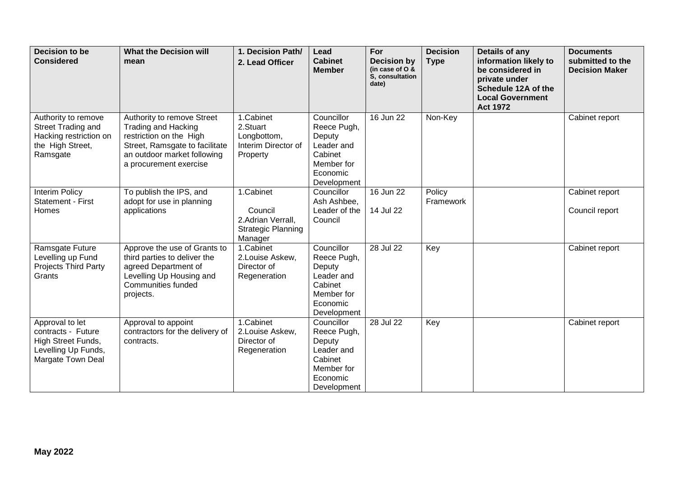| <b>Decision to be</b><br><b>Considered</b>                                                              | <b>What the Decision will</b><br>mean                                                                                                                                          | 1. Decision Path/<br>2. Lead Officer                                              | Lead<br><b>Cabinet</b><br><b>Member</b>                                                               | For<br><b>Decision by</b><br>(in case of O &<br>S, consultation<br>date) | <b>Decision</b><br><b>Type</b> | Details of any<br>information likely to<br>be considered in<br>private under<br>Schedule 12A of the<br><b>Local Government</b><br><b>Act 1972</b> | <b>Documents</b><br>submitted to the<br><b>Decision Maker</b> |
|---------------------------------------------------------------------------------------------------------|--------------------------------------------------------------------------------------------------------------------------------------------------------------------------------|-----------------------------------------------------------------------------------|-------------------------------------------------------------------------------------------------------|--------------------------------------------------------------------------|--------------------------------|---------------------------------------------------------------------------------------------------------------------------------------------------|---------------------------------------------------------------|
| Authority to remove<br>Street Trading and<br>Hacking restriction on<br>the High Street,<br>Ramsgate     | Authority to remove Street<br><b>Trading and Hacking</b><br>restriction on the High<br>Street, Ramsgate to facilitate<br>an outdoor market following<br>a procurement exercise | 1.Cabinet<br>2.Stuart<br>Longbottom,<br>Interim Director of<br>Property           | Councillor<br>Reece Pugh,<br>Deputy<br>Leader and<br>Cabinet<br>Member for<br>Economic<br>Development | 16 Jun 22                                                                | Non-Key                        |                                                                                                                                                   | Cabinet report                                                |
| <b>Interim Policy</b><br>Statement - First<br>Homes                                                     | To publish the IPS, and<br>adopt for use in planning<br>applications                                                                                                           | 1.Cabinet<br>Council<br>2.Adrian Verrall,<br><b>Strategic Planning</b><br>Manager | Councillor<br>Ash Ashbee,<br>Leader of the<br>Council                                                 | 16 Jun 22<br>14 Jul 22                                                   | Policy<br>Framework            |                                                                                                                                                   | Cabinet report<br>Council report                              |
| Ramsgate Future<br>Levelling up Fund<br>Projects Third Party<br>Grants                                  | Approve the use of Grants to<br>third parties to deliver the<br>agreed Department of<br>Levelling Up Housing and<br><b>Communities funded</b><br>projects.                     | 1.Cabinet<br>2.Louise Askew,<br>Director of<br>Regeneration                       | Councillor<br>Reece Pugh,<br>Deputy<br>Leader and<br>Cabinet<br>Member for<br>Economic<br>Development | 28 Jul 22                                                                | Key                            |                                                                                                                                                   | Cabinet report                                                |
| Approval to let<br>contracts - Future<br>High Street Funds,<br>Levelling Up Funds,<br>Margate Town Deal | Approval to appoint<br>contractors for the delivery of<br>contracts.                                                                                                           | 1.Cabinet<br>2. Louise Askew,<br>Director of<br>Regeneration                      | Councillor<br>Reece Pugh,<br>Deputy<br>Leader and<br>Cabinet<br>Member for<br>Economic<br>Development | 28 Jul 22                                                                | Key                            |                                                                                                                                                   | Cabinet report                                                |